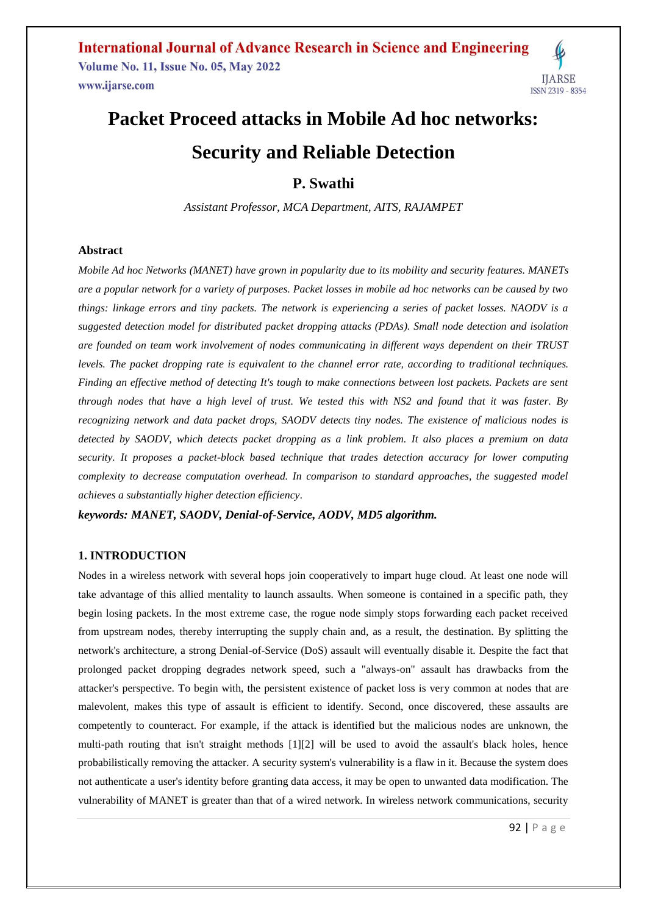# **Packet Proceed attacks in Mobile Ad hoc networks: Security and Reliable Detection**

**P. Swathi**

*Assistant Professor, MCA Department, AITS, RAJAMPET*

#### **Abstract**

*Mobile Ad hoc Networks (MANET) have grown in popularity due to its mobility and security features. MANETs are a popular network for a variety of purposes. Packet losses in mobile ad hoc networks can be caused by two things: linkage errors and tiny packets. The network is experiencing a series of packet losses. NAODV is a suggested detection model for distributed packet dropping attacks (PDAs). Small node detection and isolation are founded on team work involvement of nodes communicating in different ways dependent on their TRUST levels. The packet dropping rate is equivalent to the channel error rate, according to traditional techniques. Finding an effective method of detecting It's tough to make connections between lost packets. Packets are sent through nodes that have a high level of trust. We tested this with NS2 and found that it was faster. By recognizing network and data packet drops, SAODV detects tiny nodes. The existence of malicious nodes is detected by SAODV, which detects packet dropping as a link problem. It also places a premium on data security. It proposes a packet-block based technique that trades detection accuracy for lower computing complexity to decrease computation overhead. In comparison to standard approaches, the suggested model achieves a substantially higher detection efficiency.*

*keywords: MANET, SAODV, Denial-of-Service, AODV, MD5 algorithm.*

### **1. INTRODUCTION**

Nodes in a wireless network with several hops join cooperatively to impart huge cloud. At least one node will take advantage of this allied mentality to launch assaults. When someone is contained in a specific path, they begin losing packets. In the most extreme case, the rogue node simply stops forwarding each packet received from upstream nodes, thereby interrupting the supply chain and, as a result, the destination. By splitting the network's architecture, a strong Denial-of-Service (DoS) assault will eventually disable it. Despite the fact that prolonged packet dropping degrades network speed, such a "always-on" assault has drawbacks from the attacker's perspective. To begin with, the persistent existence of packet loss is very common at nodes that are malevolent, makes this type of assault is efficient to identify. Second, once discovered, these assaults are competently to counteract. For example, if the attack is identified but the malicious nodes are unknown, the multi-path routing that isn't straight methods [1][2] will be used to avoid the assault's black holes, hence probabilistically removing the attacker. A security system's vulnerability is a flaw in it. Because the system does not authenticate a user's identity before granting data access, it may be open to unwanted data modification. The vulnerability of MANET is greater than that of a wired network. In wireless network communications, security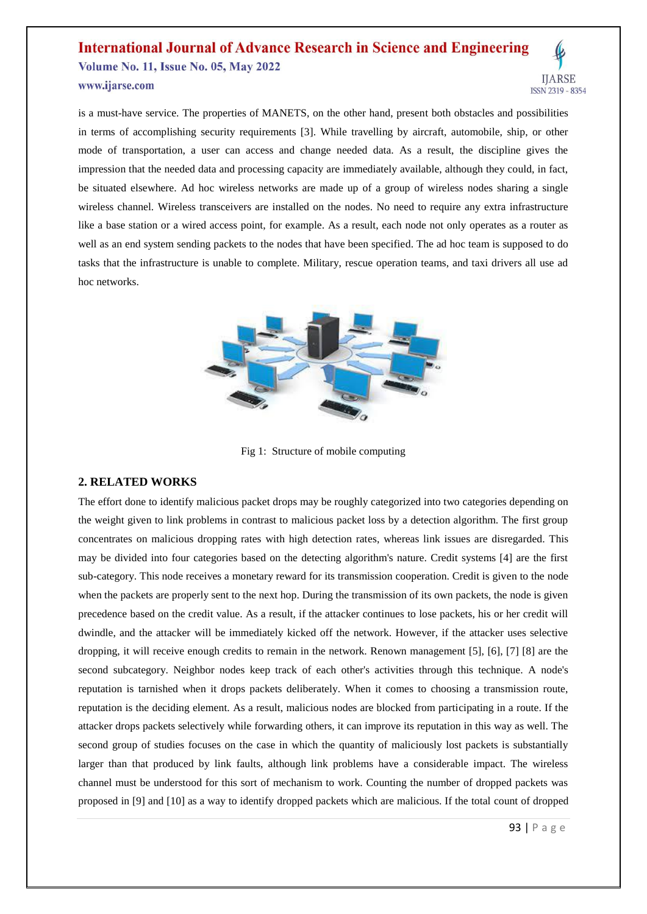is a must-have service. The properties of MANETS, on the other hand, present both obstacles and possibilities in terms of accomplishing security requirements [3]. While travelling by aircraft, automobile, ship, or other mode of transportation, a user can access and change needed data. As a result, the discipline gives the impression that the needed data and processing capacity are immediately available, although they could, in fact, be situated elsewhere. Ad hoc wireless networks are made up of a group of wireless nodes sharing a single wireless channel. Wireless transceivers are installed on the nodes. No need to require any extra infrastructure like a base station or a wired access point, for example. As a result, each node not only operates as a router as well as an end system sending packets to the nodes that have been specified. The ad hoc team is supposed to do tasks that the infrastructure is unable to complete. Military, rescue operation teams, and taxi drivers all use ad hoc networks.



Fig 1: Structure of mobile computing

#### **2. RELATED WORKS**

The effort done to identify malicious packet drops may be roughly categorized into two categories depending on the weight given to link problems in contrast to malicious packet loss by a detection algorithm. The first group concentrates on malicious dropping rates with high detection rates, whereas link issues are disregarded. This may be divided into four categories based on the detecting algorithm's nature. Credit systems [4] are the first sub-category. This node receives a monetary reward for its transmission cooperation. Credit is given to the node when the packets are properly sent to the next hop. During the transmission of its own packets, the node is given precedence based on the credit value. As a result, if the attacker continues to lose packets, his or her credit will dwindle, and the attacker will be immediately kicked off the network. However, if the attacker uses selective dropping, it will receive enough credits to remain in the network. Renown management [5], [6], [7] [8] are the second subcategory. Neighbor nodes keep track of each other's activities through this technique. A node's reputation is tarnished when it drops packets deliberately. When it comes to choosing a transmission route, reputation is the deciding element. As a result, malicious nodes are blocked from participating in a route. If the attacker drops packets selectively while forwarding others, it can improve its reputation in this way as well. The second group of studies focuses on the case in which the quantity of maliciously lost packets is substantially larger than that produced by link faults, although link problems have a considerable impact. The wireless channel must be understood for this sort of mechanism to work. Counting the number of dropped packets was proposed in [9] and [10] as a way to identify dropped packets which are malicious. If the total count of dropped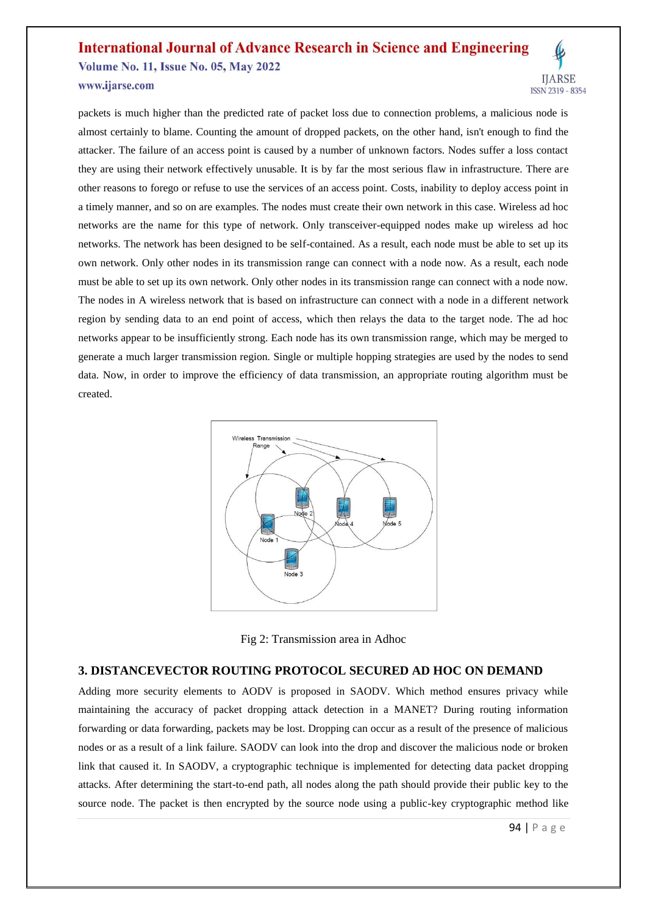packets is much higher than the predicted rate of packet loss due to connection problems, a malicious node is almost certainly to blame. Counting the amount of dropped packets, on the other hand, isn't enough to find the attacker. The failure of an access point is caused by a number of unknown factors. Nodes suffer a loss contact they are using their network effectively unusable. It is by far the most serious flaw in infrastructure. There are other reasons to forego or refuse to use the services of an access point. Costs, inability to deploy access point in a timely manner, and so on are examples. The nodes must create their own network in this case. Wireless ad hoc networks are the name for this type of network. Only transceiver-equipped nodes make up wireless ad hoc networks. The network has been designed to be self-contained. As a result, each node must be able to set up its own network. Only other nodes in its transmission range can connect with a node now. As a result, each node must be able to set up its own network. Only other nodes in its transmission range can connect with a node now. The nodes in A wireless network that is based on infrastructure can connect with a node in a different network region by sending data to an end point of access, which then relays the data to the target node. The ad hoc networks appear to be insufficiently strong. Each node has its own transmission range, which may be merged to generate a much larger transmission region. Single or multiple hopping strategies are used by the nodes to send data. Now, in order to improve the efficiency of data transmission, an appropriate routing algorithm must be created.



Fig 2: Transmission area in Adhoc

### **3. DISTANCEVECTOR ROUTING PROTOCOL SECURED AD HOC ON DEMAND**

Adding more security elements to AODV is proposed in SAODV. Which method ensures privacy while maintaining the accuracy of packet dropping attack detection in a MANET? During routing information forwarding or data forwarding, packets may be lost. Dropping can occur as a result of the presence of malicious nodes or as a result of a link failure. SAODV can look into the drop and discover the malicious node or broken link that caused it. In SAODV, a cryptographic technique is implemented for detecting data packet dropping attacks. After determining the start-to-end path, all nodes along the path should provide their public key to the source node. The packet is then encrypted by the source node using a public-key cryptographic method like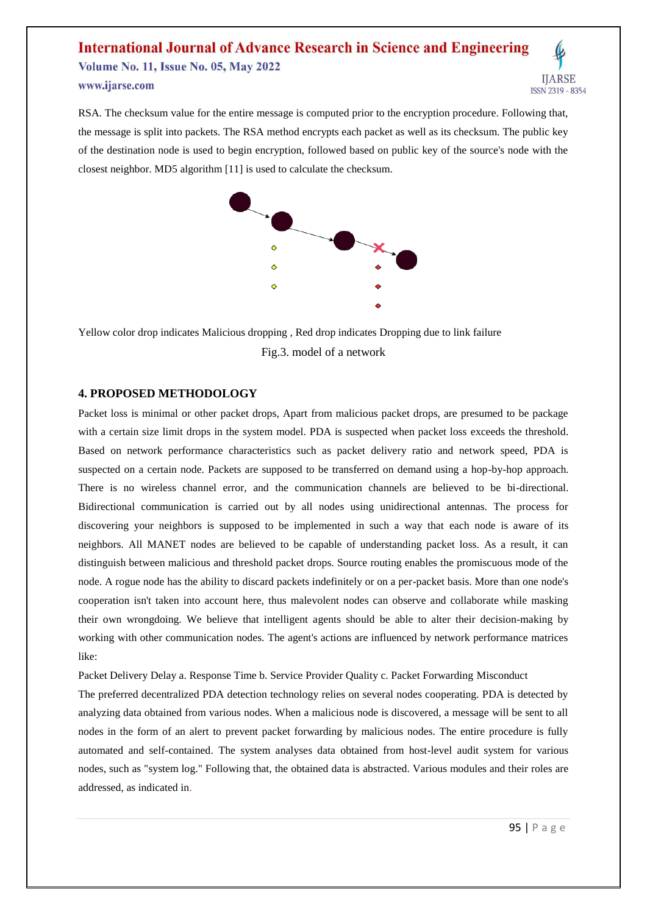RSA. The checksum value for the entire message is computed prior to the encryption procedure. Following that, the message is split into packets. The RSA method encrypts each packet as well as its checksum. The public key of the destination node is used to begin encryption, followed based on public key of the source's node with the closest neighbor. MD5 algorithm [11] is used to calculate the checksum.



Yellow color drop indicates Malicious dropping , Red drop indicates Dropping due to link failure Fig.3. model of a network

#### **4. PROPOSED METHODOLOGY**

Packet loss is minimal or other packet drops, Apart from malicious packet drops, are presumed to be package with a certain size limit drops in the system model. PDA is suspected when packet loss exceeds the threshold. Based on network performance characteristics such as packet delivery ratio and network speed, PDA is suspected on a certain node. Packets are supposed to be transferred on demand using a hop-by-hop approach. There is no wireless channel error, and the communication channels are believed to be bi-directional. Bidirectional communication is carried out by all nodes using unidirectional antennas. The process for discovering your neighbors is supposed to be implemented in such a way that each node is aware of its neighbors. All MANET nodes are believed to be capable of understanding packet loss. As a result, it can distinguish between malicious and threshold packet drops. Source routing enables the promiscuous mode of the node. A rogue node has the ability to discard packets indefinitely or on a per-packet basis. More than one node's cooperation isn't taken into account here, thus malevolent nodes can observe and collaborate while masking their own wrongdoing. We believe that intelligent agents should be able to alter their decision-making by working with other communication nodes. The agent's actions are influenced by network performance matrices like:

Packet Delivery Delay a. Response Time b. Service Provider Quality c. Packet Forwarding Misconduct

The preferred decentralized PDA detection technology relies on several nodes cooperating. PDA is detected by analyzing data obtained from various nodes. When a malicious node is discovered, a message will be sent to all nodes in the form of an alert to prevent packet forwarding by malicious nodes. The entire procedure is fully automated and self-contained. The system analyses data obtained from host-level audit system for various nodes, such as "system log." Following that, the obtained data is abstracted. Various modules and their roles are addressed, as indicated in.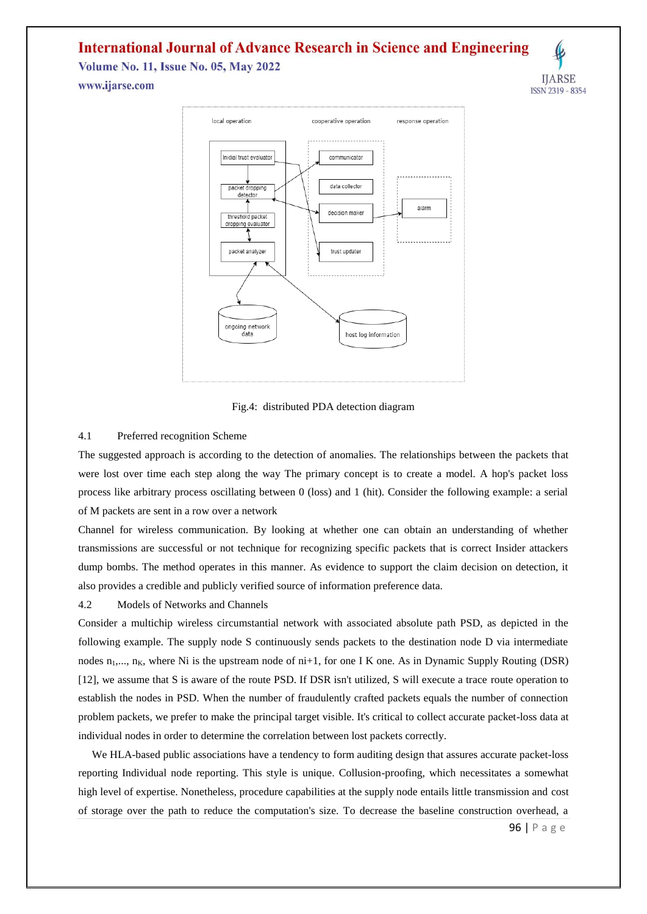# **International Journal of Advance Research in Science and Engineering**

**Volume No. 11, Issue No. 05, May 2022** 

**IIARSE** ISSN 2319 - 8354

www.ijarse.com



Fig.4: distributed PDA detection diagram

#### 4.1 Preferred recognition Scheme

The suggested approach is according to the detection of anomalies. The relationships between the packets that were lost over time each step along the way The primary concept is to create a model. A hop's packet loss process like arbitrary process oscillating between 0 (loss) and 1 (hit). Consider the following example: a serial of M packets are sent in a row over a network

Channel for wireless communication. By looking at whether one can obtain an understanding of whether transmissions are successful or not technique for recognizing specific packets that is correct Insider attackers dump bombs. The method operates in this manner. As evidence to support the claim decision on detection, it also provides a credible and publicly verified source of information preference data.

#### 4.2 Models of Networks and Channels

Consider a multichip wireless circumstantial network with associated absolute path PSD, as depicted in the following example. The supply node S continuously sends packets to the destination node D via intermediate nodes  $n_1,..., n_K$ , where Ni is the upstream node of  $ni+1$ , for one I K one. As in Dynamic Supply Routing (DSR) [12], we assume that S is aware of the route PSD. If DSR isn't utilized, S will execute a trace route operation to establish the nodes in PSD. When the number of fraudulently crafted packets equals the number of connection problem packets, we prefer to make the principal target visible. It's critical to collect accurate packet-loss data at individual nodes in order to determine the correlation between lost packets correctly.

We HLA-based public associations have a tendency to form auditing design that assures accurate packet-loss reporting Individual node reporting. This style is unique. Collusion-proofing, which necessitates a somewhat high level of expertise. Nonetheless, procedure capabilities at the supply node entails little transmission and cost of storage over the path to reduce the computation's size. To decrease the baseline construction overhead, a

96 | P a g e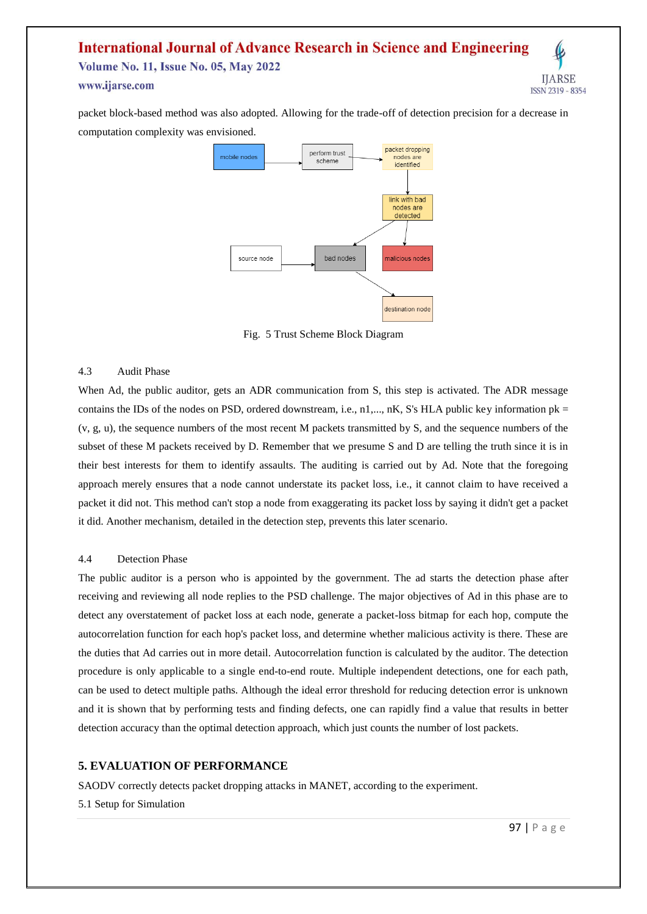packet block-based method was also adopted. Allowing for the trade-off of detection precision for a decrease in computation complexity was envisioned.



Fig. 5 Trust Scheme Block Diagram

#### 4.3 Audit Phase

When Ad, the public auditor, gets an ADR communication from S, this step is activated. The ADR message contains the IDs of the nodes on PSD, ordered downstream, i.e., n1,..., nK, S's HLA public key information pk = (v, g, u), the sequence numbers of the most recent M packets transmitted by S, and the sequence numbers of the subset of these M packets received by D. Remember that we presume S and D are telling the truth since it is in their best interests for them to identify assaults. The auditing is carried out by Ad. Note that the foregoing approach merely ensures that a node cannot understate its packet loss, i.e., it cannot claim to have received a packet it did not. This method can't stop a node from exaggerating its packet loss by saying it didn't get a packet it did. Another mechanism, detailed in the detection step, prevents this later scenario.

#### 4.4 Detection Phase

The public auditor is a person who is appointed by the government. The ad starts the detection phase after receiving and reviewing all node replies to the PSD challenge. The major objectives of Ad in this phase are to detect any overstatement of packet loss at each node, generate a packet-loss bitmap for each hop, compute the autocorrelation function for each hop's packet loss, and determine whether malicious activity is there. These are the duties that Ad carries out in more detail. Autocorrelation function is calculated by the auditor. The detection procedure is only applicable to a single end-to-end route. Multiple independent detections, one for each path, can be used to detect multiple paths. Although the ideal error threshold for reducing detection error is unknown and it is shown that by performing tests and finding defects, one can rapidly find a value that results in better detection accuracy than the optimal detection approach, which just counts the number of lost packets.

#### **5. EVALUATION OF PERFORMANCE**

SAODV correctly detects packet dropping attacks in MANET, according to the experiment. 5.1 Setup for Simulation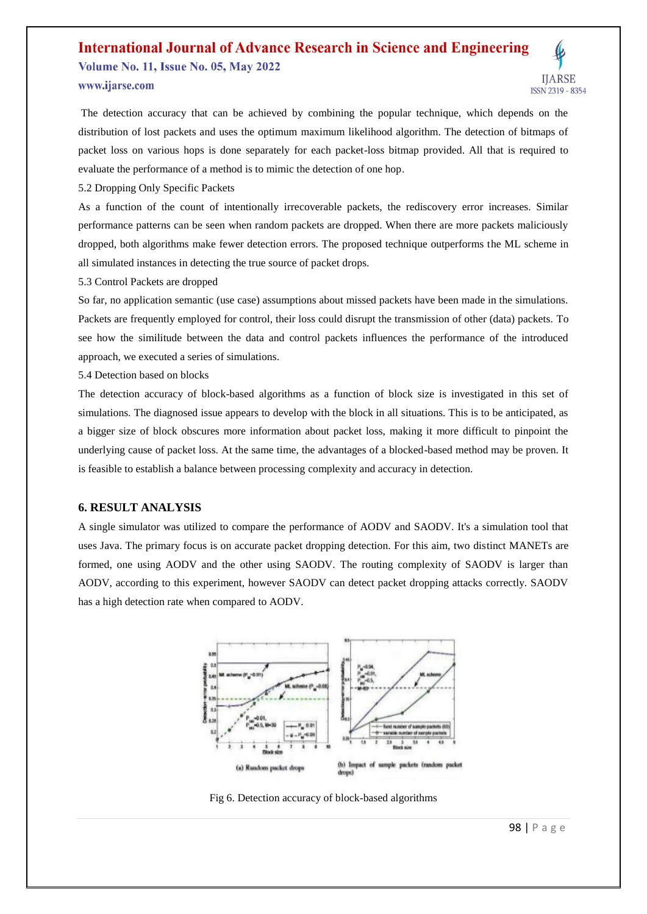

5.2 Dropping Only Specific Packets

As a function of the count of intentionally irrecoverable packets, the rediscovery error increases. Similar performance patterns can be seen when random packets are dropped. When there are more packets maliciously dropped, both algorithms make fewer detection errors. The proposed technique outperforms the ML scheme in all simulated instances in detecting the true source of packet drops.

5.3 Control Packets are dropped

So far, no application semantic (use case) assumptions about missed packets have been made in the simulations. Packets are frequently employed for control, their loss could disrupt the transmission of other (data) packets. To see how the similitude between the data and control packets influences the performance of the introduced approach, we executed a series of simulations.

5.4 Detection based on blocks

The detection accuracy of block-based algorithms as a function of block size is investigated in this set of simulations. The diagnosed issue appears to develop with the block in all situations. This is to be anticipated, as a bigger size of block obscures more information about packet loss, making it more difficult to pinpoint the underlying cause of packet loss. At the same time, the advantages of a blocked-based method may be proven. It is feasible to establish a balance between processing complexity and accuracy in detection.

#### **6. RESULT ANALYSIS**

A single simulator was utilized to compare the performance of AODV and SAODV. It's a simulation tool that uses Java. The primary focus is on accurate packet dropping detection. For this aim, two distinct MANETs are formed, one using AODV and the other using SAODV. The routing complexity of SAODV is larger than AODV, according to this experiment, however SAODV can detect packet dropping attacks correctly. SAODV has a high detection rate when compared to AODV.



Fig 6. Detection accuracy of block-based algorithms

**IIARSE** 

ISSN 2319 - 8354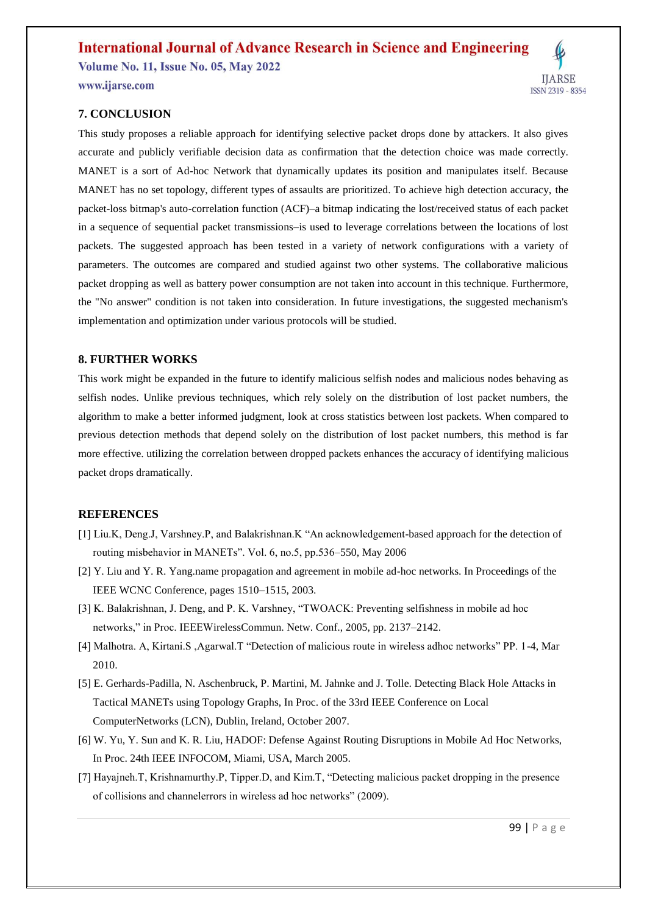### **7. CONCLUSION**

This study proposes a reliable approach for identifying selective packet drops done by attackers. It also gives accurate and publicly verifiable decision data as confirmation that the detection choice was made correctly. MANET is a sort of Ad-hoc Network that dynamically updates its position and manipulates itself. Because MANET has no set topology, different types of assaults are prioritized. To achieve high detection accuracy, the packet-loss bitmap's auto-correlation function (ACF)–a bitmap indicating the lost/received status of each packet in a sequence of sequential packet transmissions–is used to leverage correlations between the locations of lost packets. The suggested approach has been tested in a variety of network configurations with a variety of parameters. The outcomes are compared and studied against two other systems. The collaborative malicious packet dropping as well as battery power consumption are not taken into account in this technique. Furthermore, the "No answer" condition is not taken into consideration. In future investigations, the suggested mechanism's implementation and optimization under various protocols will be studied.

#### **8. FURTHER WORKS**

This work might be expanded in the future to identify malicious selfish nodes and malicious nodes behaving as selfish nodes. Unlike previous techniques, which rely solely on the distribution of lost packet numbers, the algorithm to make a better informed judgment, look at cross statistics between lost packets. When compared to previous detection methods that depend solely on the distribution of lost packet numbers, this method is far more effective. utilizing the correlation between dropped packets enhances the accuracy of identifying malicious packet drops dramatically.

#### **REFERENCES**

- [1] Liu.K, Deng.J, Varshney.P, and Balakrishnan.K "An acknowledgement-based approach for the detection of routing misbehavior in MANETs". Vol. 6, no.5, pp.536–550, May 2006
- [2] Y. Liu and Y. R. Yang.name propagation and agreement in mobile ad-hoc networks. In Proceedings of the IEEE WCNC Conference, pages 1510–1515, 2003.
- [3] K. Balakrishnan, J. Deng, and P. K. Varshney, "TWOACK: Preventing selfishness in mobile ad hoc networks," in Proc. IEEEWirelessCommun. Netw. Conf., 2005, pp. 2137–2142.
- [4] Malhotra. A, Kirtani.S ,Agarwal.T "Detection of malicious route in wireless adhoc networks" PP. 1-4, Mar 2010.
- [5] E. Gerhards-Padilla, N. Aschenbruck, P. Martini, M. Jahnke and J. Tolle. Detecting Black Hole Attacks in Tactical MANETs using Topology Graphs, In Proc. of the 33rd IEEE Conference on Local ComputerNetworks (LCN), Dublin, Ireland, October 2007.
- [6] W. Yu, Y. Sun and K. R. Liu, HADOF: Defense Against Routing Disruptions in Mobile Ad Hoc Networks, In Proc. 24th IEEE INFOCOM, Miami, USA, March 2005.
- [7] Hayajneh.T, Krishnamurthy.P, Tipper.D, and Kim.T, "Detecting malicious packet dropping in the presence of collisions and channelerrors in wireless ad hoc networks" (2009).

**IIARSE** 

ISSN 2319 - 8354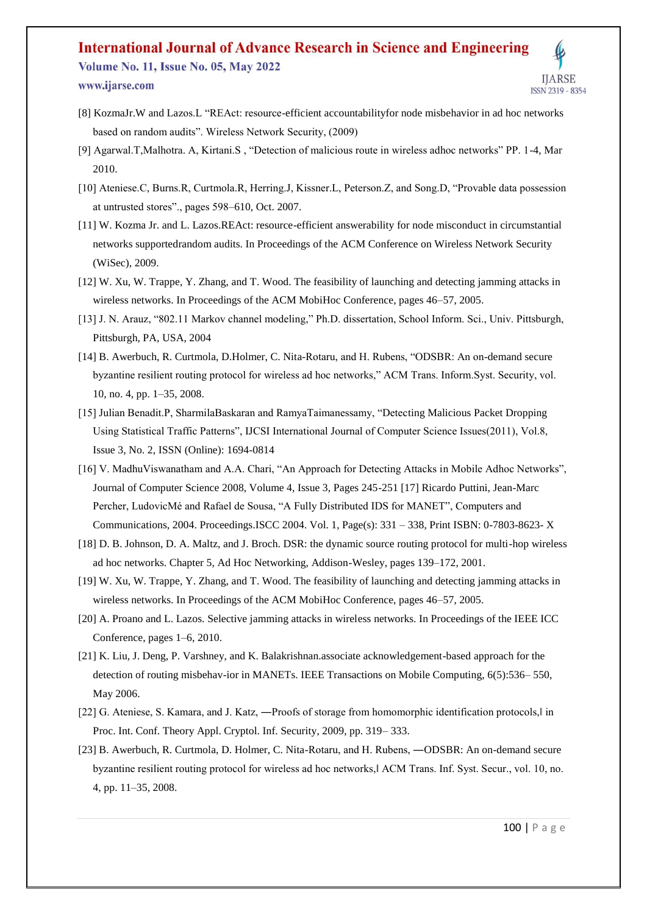- [8] KozmaJr.W and Lazos.L "REAct: resource-efficient accountabilityfor node misbehavior in ad hoc networks based on random audits". Wireless Network Security, (2009)
- [9] Agarwal.T,Malhotra. A, Kirtani.S , "Detection of malicious route in wireless adhoc networks" PP. 1-4, Mar 2010.
- [10] Ateniese.C, Burns.R, Curtmola.R, Herring.J, Kissner.L, Peterson.Z, and Song.D, "Provable data possession at untrusted stores"., pages 598–610, Oct. 2007.
- [11] W. Kozma Jr. and L. Lazos.REAct: resource-efficient answerability for node misconduct in circumstantial networks supportedrandom audits. In Proceedings of the ACM Conference on Wireless Network Security (WiSec), 2009.
- [12] W. Xu, W. Trappe, Y. Zhang, and T. Wood. The feasibility of launching and detecting jamming attacks in wireless networks. In Proceedings of the ACM MobiHoc Conference, pages 46–57, 2005.
- [13] J. N. Arauz, "802.11 Markov channel modeling," Ph.D. dissertation, School Inform. Sci., Univ. Pittsburgh, Pittsburgh, PA, USA, 2004
- [14] B. Awerbuch, R. Curtmola, D.Holmer, C. Nita-Rotaru, and H. Rubens, "ODSBR: An on-demand secure byzantine resilient routing protocol for wireless ad hoc networks," ACM Trans. Inform.Syst. Security, vol. 10, no. 4, pp. 1–35, 2008.
- [15] Julian Benadit.P, SharmilaBaskaran and RamyaTaimanessamy, "Detecting Malicious Packet Dropping Using Statistical Traffic Patterns", IJCSI International Journal of Computer Science Issues(2011), Vol.8, Issue 3, No. 2, ISSN (Online): 1694-0814
- [16] V. MadhuViswanatham and A.A. Chari, "An Approach for Detecting Attacks in Mobile Adhoc Networks", Journal of Computer Science 2008, Volume 4, Issue 3, Pages 245-251 [17] Ricardo Puttini, Jean-Marc Percher, LudovicMé and Rafael de Sousa, "A Fully Distributed IDS for MANET", Computers and Communications, 2004. Proceedings.ISCC 2004. Vol. 1, Page(s): 331 – 338, Print ISBN: 0-7803-8623- X
- [18] D. B. Johnson, D. A. Maltz, and J. Broch. DSR: the dynamic source routing protocol for multi-hop wireless ad hoc networks. Chapter 5, Ad Hoc Networking, Addison-Wesley, pages 139–172, 2001.
- [19] W. Xu, W. Trappe, Y. Zhang, and T. Wood. The feasibility of launching and detecting jamming attacks in wireless networks. In Proceedings of the ACM MobiHoc Conference, pages 46–57, 2005.
- [20] A. Proano and L. Lazos. Selective jamming attacks in wireless networks. In Proceedings of the IEEE ICC Conference, pages 1–6, 2010.
- [21] K. Liu, J. Deng, P. Varshney, and K. Balakrishnan.associate acknowledgement-based approach for the detection of routing misbehav-ior in MANETs. IEEE Transactions on Mobile Computing, 6(5):536– 550, May 2006.
- [22] G. Ateniese, S. Kamara, and J. Katz, —Proofs of storage from homomorphic identification protocols, l in Proc. Int. Conf. Theory Appl. Cryptol. Inf. Security, 2009, pp. 319– 333.
- [23] B. Awerbuch, R. Curtmola, D. Holmer, C. Nita-Rotaru, and H. Rubens, ―ODSBR: An on-demand secure byzantine resilient routing protocol for wireless ad hoc networks,‖ ACM Trans. Inf. Syst. Secur., vol. 10, no. 4, pp. 11–35, 2008.

**ITARSE**